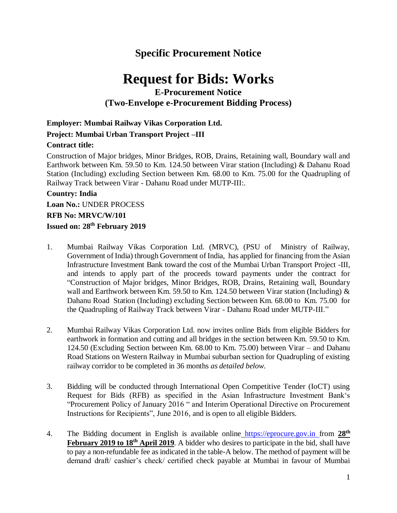# **Specific Procurement Notice**

# **Request for Bids: Works**

## **E-Procurement Notice (Two-Envelope e-Procurement Bidding Process)**

### **Employer: Mumbai Railway Vikas Corporation Ltd. Project: Mumbai Urban Transport Project –III Contract title:**

Construction of Major bridges, Minor Bridges, ROB, Drains, Retaining wall, Boundary wall and Earthwork between Km. 59.50 to Km. 124.50 between Virar station (Including) & Dahanu Road Station (Including) excluding Section between Km. 68.00 to Km. 75.00 for the Quadrupling of Railway Track between Virar - Dahanu Road under MUTP-III:.

#### **Country: India**

**Loan No.:** UNDER PROCESS

**RFB No: MRVC/W/101**

**Issued on: 28th February 2019**

- 1. Mumbai Railway Vikas Corporation Ltd. (MRVC), (PSU of Ministry of Railway, Government of India) through Government of India, has applied for financing from the Asian Infrastructure Investment Bank toward the cost of the Mumbai Urban Transport Project -III, and intends to apply part of the proceeds toward payments under the contract for "Construction of Major bridges, Minor Bridges, ROB, Drains, Retaining wall, Boundary wall and Earthwork between Km. 59.50 to Km. 124.50 between Virar station (Including) & Dahanu Road Station (Including) excluding Section between Km. 68.00 to Km. 75.00 for the Quadrupling of Railway Track between Virar - Dahanu Road under MUTP-III."
- 2. Mumbai Railway Vikas Corporation Ltd. now invites online Bids from eligible Bidders for earthwork in formation and cutting and all bridges in the section between Km. 59.50 to Km. 124.50 (Excluding Section between Km. 68.00 to Km. 75.00) between Virar – and Dahanu Road Stations on Western Railway in Mumbai suburban section for Quadrupling of existing railway corridor to be completed in 36 months *as detailed below*.
- 3. Bidding will be conducted through International Open Competitive Tender (IoCT) using Request for Bids (RFB) as specified in the Asian Infrastructure Investment Bank's ["Procurement](http://www.worldbank.org/html/opr/procure/guidelin.html) Policy of January 2016 " and Interim Operational Directive on Procurement Instructions for Recipients", June 2016, and is open to all eligible Bidders.
- 4. The Bidding document in English is available online [https://eprocure.gov.in](https://eprocure.gov.in/) from **28th February 2019 to 18th April 2019**. A bidder who desires to participate in the bid, shall have to pay a non-refundable fee as indicated in the table-A below. The method of payment will be demand draft/ cashier's check/ certified check payable at Mumbai in favour of Mumbai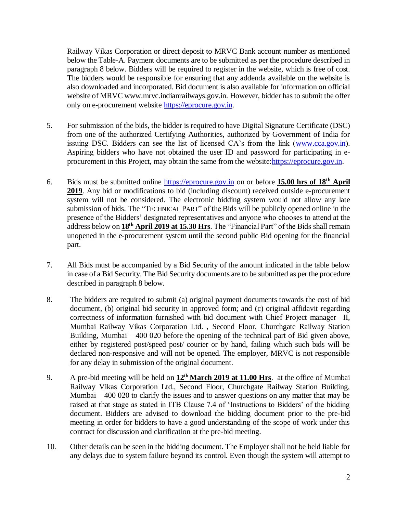Railway Vikas Corporation or direct deposit to MRVC Bank account number as mentioned below the Table-A. Payment documents are to be submitted as per the procedure described in paragraph 8 below. Bidders will be required to register in the website, which is free of cost. The bidders would be responsible for ensuring that any addenda available on the website is also downloaded and incorporated. Bid document is also available for information on official website of MRVC www.mrvc.indianrailways.gov.in. However, bidder has to submit the offer only on e-procurement website [https://eprocure.gov.in.](https://eprocure.gov.in/)

- 5. For submission of the bids, the bidder is required to have Digital Signature Certificate (DSC) from one of the authorized Certifying Authorities, authorized by Government of India for issuing DSC. Bidders can see the list of licensed CA's from the link [\(www.cca.gov.in\)](http://www.cca.gov.in/). Aspiring bidders who have not obtained the user ID and password for participating in eprocurement in this Project, may obtain the same from the website[:https://eprocure.gov.in.](https://eprocure.gov.in/)
- 6. Bids must be submitted online [https://eprocure.gov.in](https://eprocure.gov.in/) on or before **15.00 hrs of 18th April 2019**. Any bid or modifications to bid (including discount) received outside e-procurement system will not be considered. The electronic bidding system would not allow any late submission of bids. The "TECHNICAL PART" of the Bids will be publicly opened online in the presence of the Bidders' designated representatives and anyone who chooses to attend at the address below on **18th April 2019 at 15.30 Hrs**. The "Financial Part" of the Bids shall remain unopened in the e-procurement system until the second public Bid opening for the financial part.
- 7. All Bids must be accompanied by a Bid Security of the amount indicated in the table below in case of a Bid Security. The Bid Security documents are to be submitted as per the procedure described in paragraph 8 below.
- 8. The bidders are required to submit (a) original payment documents towards the cost of bid document, (b) original bid security in approved form; and (c) original affidavit regarding correctness of information furnished with bid document with Chief Project manager –II, Mumbai Railway Vikas Corporation Ltd. , Second Floor, Churchgate Railway Station Building, Mumbai – 400 020 before the opening of the technical part of Bid given above, either by registered post/speed post/ courier or by hand, failing which such bids will be declared non-responsive and will not be opened. The employer, MRVC is not responsible for any delay in submission of the original document.
- 9. A pre-bid meeting will be held on **12th March 2019 at 11.00 Hrs**. at the office of Mumbai Railway Vikas Corporation Ltd., Second Floor, Churchgate Railway Station Building, Mumbai – 400 020 to clarify the issues and to answer questions on any matter that may be raised at that stage as stated in ITB Clause 7.4 of 'Instructions to Bidders' of the bidding document. Bidders are advised to download the bidding document prior to the pre-bid meeting in order for bidders to have a good understanding of the scope of work under this contract for discussion and clarification at the pre-bid meeting.
- 10. Other details can be seen in the bidding document. The Employer shall not be held liable for any delays due to system failure beyond its control. Even though the system will attempt to